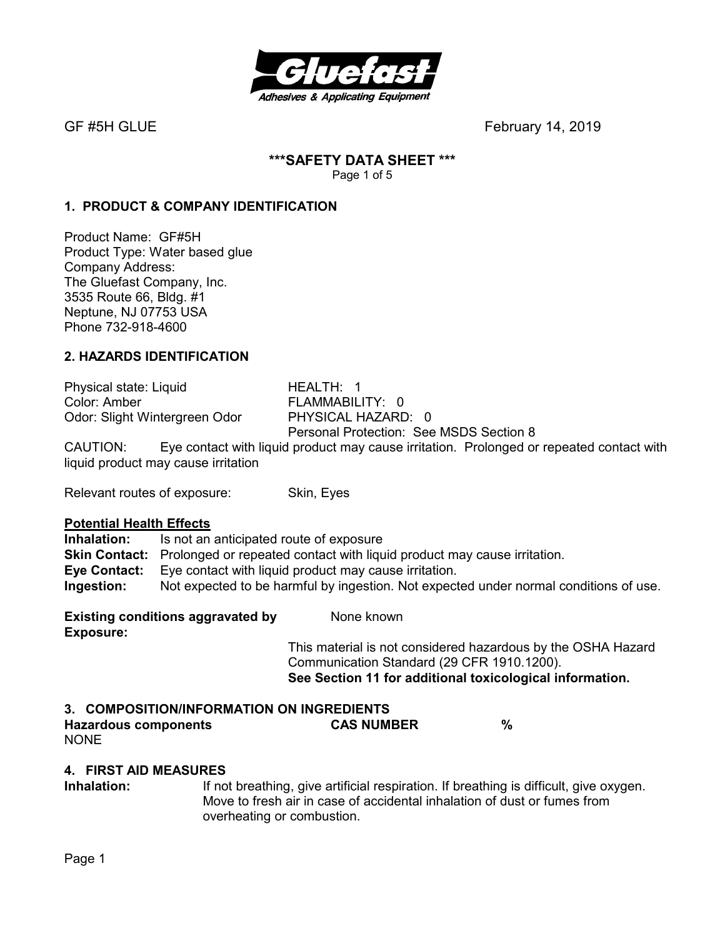

# **\*\*\*SAFETY DATA SHEET \*\*\***

Page 1 of 5

### **1. PRODUCT & COMPANY IDENTIFICATION**

Product Name: GF#5H Product Type: Water based glue Company Address: The Gluefast Company, Inc. 3535 Route 66, Bldg. #1 Neptune, NJ 07753 USA Phone 732-918-4600

#### **2. HAZARDS IDENTIFICATION**

Physical state: Liquid HEALTH: 1 Color: Amber FLAMMABILITY: 0<br>
Odor: Slight Wintergreen Odor PHYSICAL HAZARD: 0 Odor: Slight Wintergreen Odor Personal Protection: See MSDS Section 8 CAUTION: Eye contact with liquid product may cause irritation. Prolonged or repeated contact with liquid product may cause irritation

Relevant routes of exposure: Skin, Eyes

#### **Potential Health Effects**

**Inhalation:** Is not an anticipated route of exposure **Skin Contact:** Prolonged or repeated contact with liquid product may cause irritation. **Eye Contact:** Eye contact with liquid product may cause irritation. **Ingestion:** Not expected to be harmful by ingestion. Not expected under normal conditions of use.

**Existing conditions aggravated by Stationary Representions Exposure:** 

This material is not considered hazardous by the OSHA Hazard Communication Standard (29 CFR 1910.1200). **See Section 11 for additional toxicological information.** 

## **3. COMPOSITION/INFORMATION ON INGREDIENTS**

**Hazardous components CAS NUMBER %**  NONE

#### **4. FIRST AID MEASURES**

**Inhalation:** If not breathing, give artificial respiration. If breathing is difficult, give oxygen. Move to fresh air in case of accidental inhalation of dust or fumes from overheating or combustion.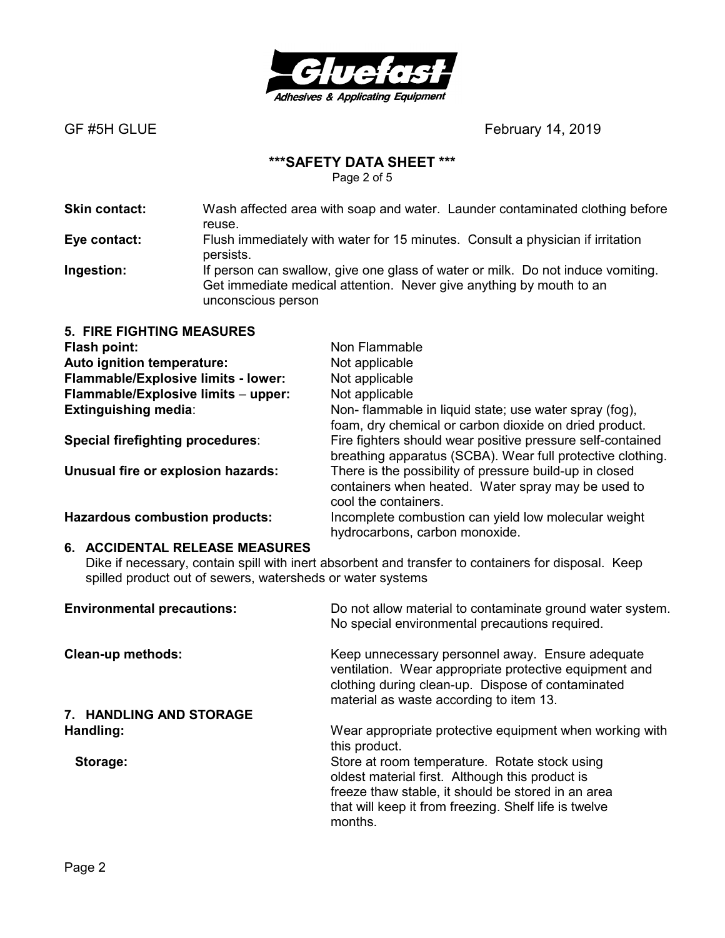

#### **\*\*\*SAFETY DATA SHEET \*\*\***

Page 2 of 5

**Skin contact:** Wash affected area with soap and water. Launder contaminated clothing before reuse. **Eye contact:** Flush immediately with water for 15 minutes. Consult a physician if irritation persists.

**Ingestion:** If person can swallow, give one glass of water or milk. Do not induce vomiting. Get immediate medical attention. Never give anything by mouth to an unconscious person

| <b>5. FIRE FIGHTING MEASURES</b>      |                                                                                                                                       |
|---------------------------------------|---------------------------------------------------------------------------------------------------------------------------------------|
| Flash point:                          | Non Flammable                                                                                                                         |
| Auto ignition temperature:            | Not applicable                                                                                                                        |
| Flammable/Explosive limits - lower:   | Not applicable                                                                                                                        |
| Flammable/Explosive limits - upper:   | Not applicable                                                                                                                        |
| <b>Extinguishing media:</b>           | Non-flammable in liquid state; use water spray (fog),<br>foam, dry chemical or carbon dioxide on dried product.                       |
| Special firefighting procedures:      | Fire fighters should wear positive pressure self-contained<br>breathing apparatus (SCBA). Wear full protective clothing.              |
| Unusual fire or explosion hazards:    | There is the possibility of pressure build-up in closed<br>containers when heated. Water spray may be used to<br>cool the containers. |
| <b>Hazardous combustion products:</b> | Incomplete combustion can yield low molecular weight<br>hydrocarbons, carbon monoxide.                                                |

#### **6. ACCIDENTAL RELEASE MEASURES**

Dike if necessary, contain spill with inert absorbent and transfer to containers for disposal. Keep spilled product out of sewers, watersheds or water systems

| <b>Environmental precautions:</b> | Do not allow material to contaminate ground water system.<br>No special environmental precautions required.                                                                                                                |
|-----------------------------------|----------------------------------------------------------------------------------------------------------------------------------------------------------------------------------------------------------------------------|
| <b>Clean-up methods:</b>          | Keep unnecessary personnel away. Ensure adequate<br>ventilation. Wear appropriate protective equipment and<br>clothing during clean-up. Dispose of contaminated<br>material as waste according to item 13.                 |
| 7. HANDLING AND STORAGE           |                                                                                                                                                                                                                            |
| Handling:                         | Wear appropriate protective equipment when working with<br>this product.                                                                                                                                                   |
| Storage:                          | Store at room temperature. Rotate stock using<br>oldest material first. Although this product is<br>freeze thaw stable, it should be stored in an area<br>that will keep it from freezing. Shelf life is twelve<br>months. |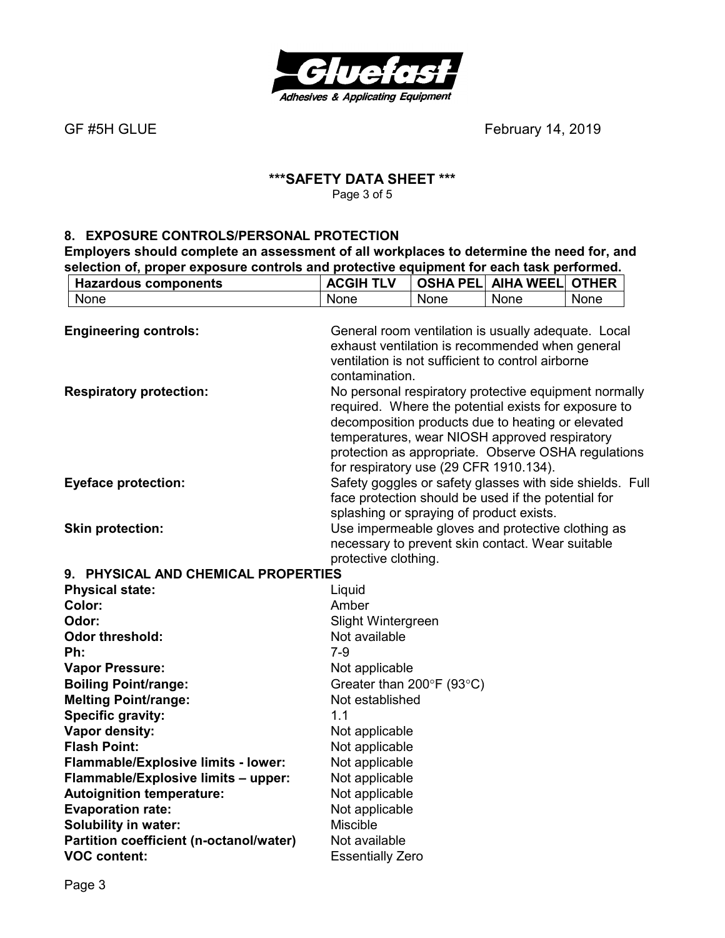

#### **\*\*\*SAFETY DATA SHEET \*\*\***  Page 3 of 5

#### **8. EXPOSURE CONTROLS/PERSONAL PROTECTION**

**Employers should complete an assessment of all workplaces to determine the need for, and selection of, proper exposure controls and protective equipment for each task performed.** 

| <b>Hazardous components</b>             | <b>ACGIH TLV</b>                         |      | <b>OSHA PELI AIHA WEELI</b>                                                                               | <b>OTHER</b> |
|-----------------------------------------|------------------------------------------|------|-----------------------------------------------------------------------------------------------------------|--------------|
| None                                    | None                                     | None | None                                                                                                      | None         |
|                                         |                                          |      |                                                                                                           |              |
| <b>Engineering controls:</b>            |                                          |      | General room ventilation is usually adequate. Local                                                       |              |
|                                         |                                          |      | exhaust ventilation is recommended when general                                                           |              |
|                                         |                                          |      | ventilation is not sufficient to control airborne                                                         |              |
|                                         | contamination.                           |      |                                                                                                           |              |
| <b>Respiratory protection:</b>          |                                          |      | No personal respiratory protective equipment normally                                                     |              |
|                                         |                                          |      | required. Where the potential exists for exposure to<br>decomposition products due to heating or elevated |              |
|                                         |                                          |      | temperatures, wear NIOSH approved respiratory                                                             |              |
|                                         |                                          |      | protection as appropriate. Observe OSHA regulations                                                       |              |
|                                         | for respiratory use (29 CFR 1910.134).   |      |                                                                                                           |              |
| <b>Eyeface protection:</b>              |                                          |      | Safety goggles or safety glasses with side shields. Full                                                  |              |
|                                         |                                          |      | face protection should be used if the potential for                                                       |              |
|                                         | splashing or spraying of product exists. |      |                                                                                                           |              |
| <b>Skin protection:</b>                 |                                          |      | Use impermeable gloves and protective clothing as                                                         |              |
|                                         |                                          |      | necessary to prevent skin contact. Wear suitable                                                          |              |
|                                         | protective clothing.                     |      |                                                                                                           |              |
| 9. PHYSICAL AND CHEMICAL PROPERTIES     |                                          |      |                                                                                                           |              |
| <b>Physical state:</b>                  | Liquid                                   |      |                                                                                                           |              |
| Color:                                  | Amber                                    |      |                                                                                                           |              |
| Odor:                                   | Slight Wintergreen                       |      |                                                                                                           |              |
| <b>Odor threshold:</b>                  | Not available                            |      |                                                                                                           |              |
| Ph:                                     | $7-9$                                    |      |                                                                                                           |              |
| <b>Vapor Pressure:</b>                  | Not applicable                           |      |                                                                                                           |              |
| <b>Boiling Point/range:</b>             | Greater than 200°F (93°C)                |      |                                                                                                           |              |
| <b>Melting Point/range:</b>             | Not established                          |      |                                                                                                           |              |
| <b>Specific gravity:</b>                | 1.1                                      |      |                                                                                                           |              |
| Vapor density:                          | Not applicable                           |      |                                                                                                           |              |
| <b>Flash Point:</b>                     | Not applicable                           |      |                                                                                                           |              |
| Flammable/Explosive limits - lower:     | Not applicable                           |      |                                                                                                           |              |
| Flammable/Explosive limits - upper:     | Not applicable                           |      |                                                                                                           |              |
| <b>Autoignition temperature:</b>        | Not applicable                           |      |                                                                                                           |              |
| <b>Evaporation rate:</b>                | Not applicable                           |      |                                                                                                           |              |
| <b>Solubility in water:</b>             | <b>Miscible</b>                          |      |                                                                                                           |              |
| Partition coefficient (n-octanol/water) | Not available                            |      |                                                                                                           |              |
| <b>VOC content:</b>                     | <b>Essentially Zero</b>                  |      |                                                                                                           |              |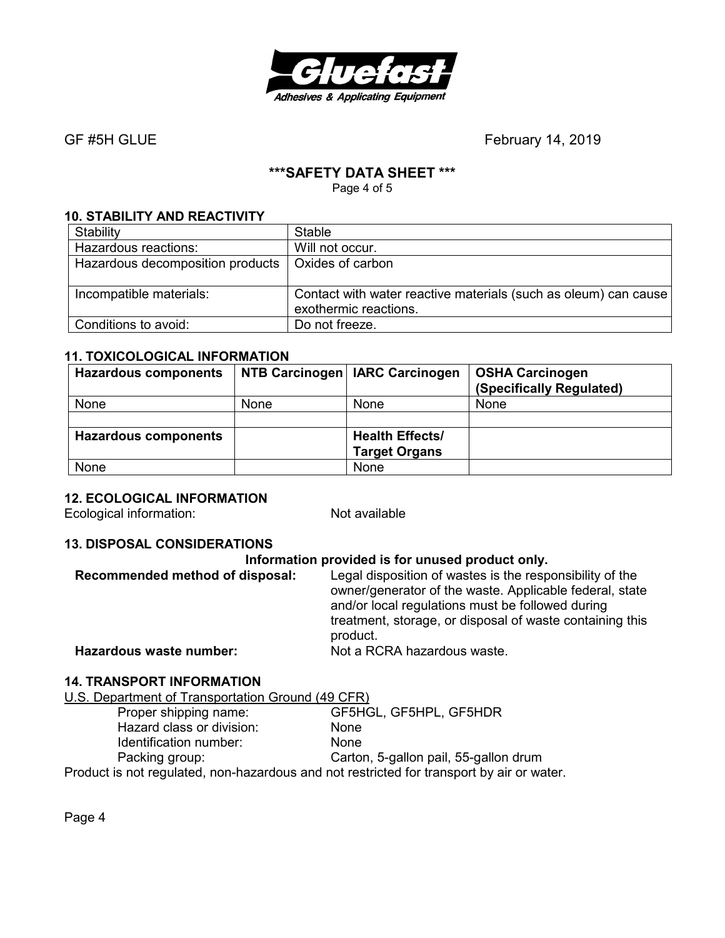

#### **\*\*\*SAFETY DATA SHEET \*\*\***

Page 4 of 5

#### **10. STABILITY AND REACTIVITY**

| Stability                        | <b>Stable</b>                                                                            |
|----------------------------------|------------------------------------------------------------------------------------------|
| Hazardous reactions:             | Will not occur.                                                                          |
| Hazardous decomposition products | Oxides of carbon                                                                         |
|                                  |                                                                                          |
| Incompatible materials:          | Contact with water reactive materials (such as oleum) can cause<br>exothermic reactions. |
| Conditions to avoid:             | Do not freeze.                                                                           |

#### **11. TOXICOLOGICAL INFORMATION**

| <b>Hazardous components</b> |             | NTB Carcinogen   IARC Carcinogen | <b>OSHA Carcinogen</b><br>(Specifically Regulated) |
|-----------------------------|-------------|----------------------------------|----------------------------------------------------|
| None                        | <b>None</b> | <b>None</b>                      | None                                               |
|                             |             |                                  |                                                    |
| <b>Hazardous components</b> |             | <b>Health Effects/</b>           |                                                    |
|                             |             | <b>Target Organs</b>             |                                                    |
| None                        |             | None                             |                                                    |

#### **12. ECOLOGICAL INFORMATION**

Ecological information: Not available

#### **13. DISPOSAL CONSIDERATIONS**

| Information provided is for unused product only. |                                                                                                                                                                                                                                                 |  |
|--------------------------------------------------|-------------------------------------------------------------------------------------------------------------------------------------------------------------------------------------------------------------------------------------------------|--|
| Recommended method of disposal:                  | Legal disposition of wastes is the responsibility of the<br>owner/generator of the waste. Applicable federal, state<br>and/or local regulations must be followed during<br>treatment, storage, or disposal of waste containing this<br>product. |  |
| Hazardous waste number:                          | Not a RCRA hazardous waste.                                                                                                                                                                                                                     |  |
|                                                  |                                                                                                                                                                                                                                                 |  |

#### **14. TRANSPORT INFORMATION**

U.S. Department of Transportation Ground (49 CFR)

| Proper shipping name:                                                                     | GF5HGL, GF5HPL, GF5HDR                |
|-------------------------------------------------------------------------------------------|---------------------------------------|
| Hazard class or division:                                                                 | <b>None</b>                           |
| Identification number:                                                                    | <b>None</b>                           |
| Packing group:                                                                            | Carton, 5-gallon pail, 55-gallon drum |
| Product is not regulated, non-hazardous and not restricted for transport by air or water. |                                       |

Page 4